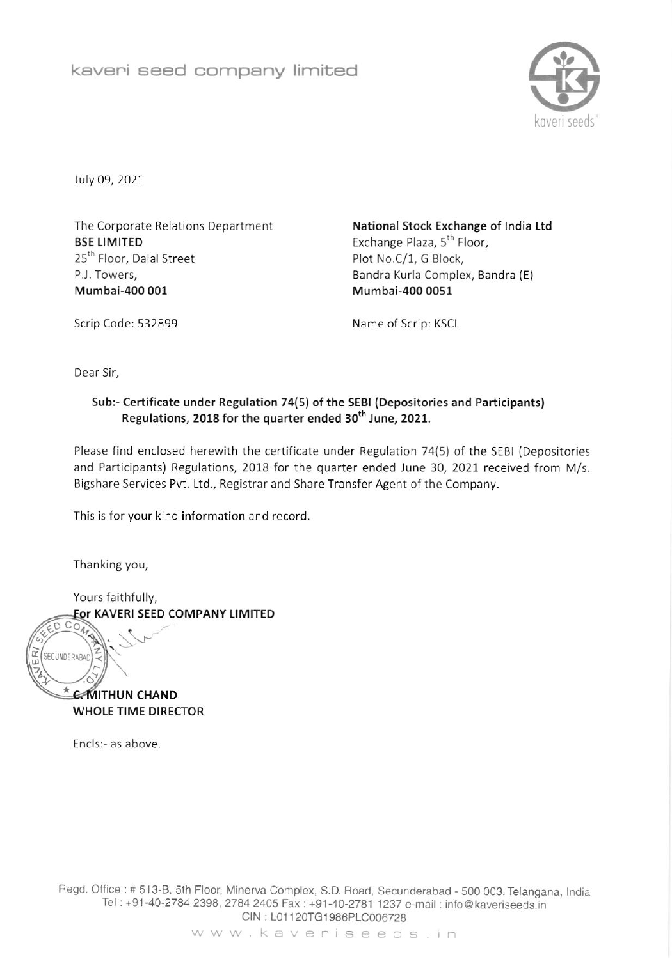

luly 09, 2021

The Corporate Relations Department **BSE LIMITED** 25<sup>th</sup> Floor, Dalal Street P.l. Towers, Mumbai-400 001

National Stock Exchange of India Ltd Exchange Plaza, 5<sup>th</sup> Floor, Plot No.C/1, G 8lock, Bandra Kurla Complex, Bandra (E) Mumbai-400 0051

Scrip Code: 532899 Name of Scrip: KSCL

Dear Sir,

## Sub:- Certificate under Regulation 74(5) of the SEBI (Depositories and Participants) Regulations, 2018 for the quarter ended 30<sup>th</sup> June, 2021.

Please find enclosed herewith the certificate under Regulation 74(5) of the SEBI (Depositories and Participants) Regulations, 2018 for the quarter ended June 30, 2021 received from M/s. Bigshare Services Pvt. Ltd., Registrar and Share Transfer Agent of the Company.

This is for your kind information and record

Thanking you,

SECUNDERABAD

Yours faithfully, Eor KAVERI SEED COMPANY LIMITED  $\mathcal{S}$  $CO<sub>A</sub>$ 

**C**MITHUN CHAND WHOLE TIME DIRECTOR

<sup>E</sup>ncls:- as above

Fiegd. Oftice : # 513-8, 5th Floor, Minerya Complex, S.D. Road, Secunderabad - 5OO OO3. Telangana, tndia Tel: +91-40-2784 2398, 2784 2405 Fax: +91-40-2781 1237 e-mail: info@kaveriseeds.in CIN: L01120TG1986PLC006728